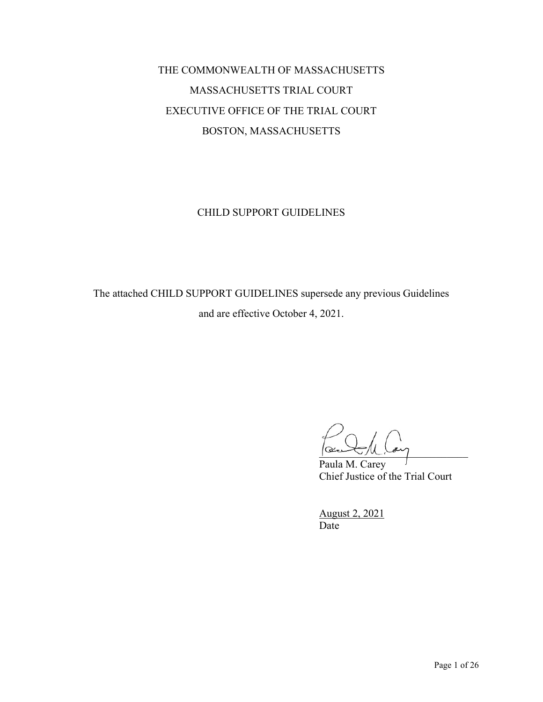THE COMMONWEALTH OF MASSACHUSETTS MASSACHUSETTS TRIAL COURT EXECUTIVE OFFICE OF THE TRIAL COURT BOSTON, MASSACHUSETTS

# CHILD SUPPORT GUIDELINES

The attached CHILD SUPPORT GUIDELINES supersede any previous Guidelines and are effective October 4, 2021.

 $\frac{1}{2}$ 

Paula M. Carey Chief Justice of the Trial Court

August 2, 2021 Date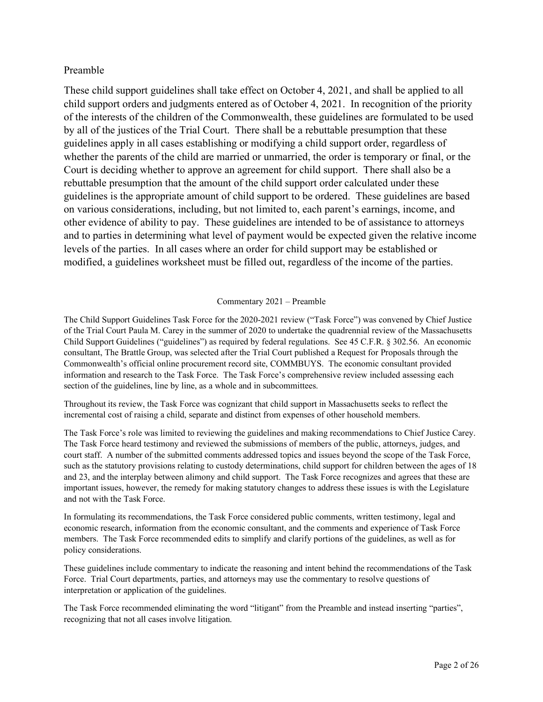## Preamble

These child support guidelines shall take effect on October 4, 2021, and shall be applied to all child support orders and judgments entered as of October 4, 2021. In recognition of the priority of the interests of the children of the Commonwealth, these guidelines are formulated to be used by all of the justices of the Trial Court. There shall be a rebuttable presumption that these guidelines apply in all cases establishing or modifying a child support order, regardless of whether the parents of the child are married or unmarried, the order is temporary or final, or the Court is deciding whether to approve an agreement for child support. There shall also be a rebuttable presumption that the amount of the child support order calculated under these guidelines is the appropriate amount of child support to be ordered. These guidelines are based on various considerations, including, but not limited to, each parent's earnings, income, and other evidence of ability to pay. These guidelines are intended to be of assistance to attorneys and to parties in determining what level of payment would be expected given the relative income levels of the parties. In all cases where an order for child support may be established or modified, a guidelines worksheet must be filled out, regardless of the income of the parties.

### Commentary 2021 – Preamble

The Child Support Guidelines Task Force for the 2020-2021 review ("Task Force") was convened by Chief Justice of the Trial Court Paula M. Carey in the summer of 2020 to undertake the quadrennial review of the Massachusetts Child Support Guidelines ("guidelines") as required by federal regulations. See 45 C.F.R. § 302.56. An economic consultant, The Brattle Group, was selected after the Trial Court published a Request for Proposals through the Commonwealth's official online procurement record site, COMMBUYS. The economic consultant provided information and research to the Task Force. The Task Force's comprehensive review included assessing each section of the guidelines, line by line, as a whole and in subcommittees.

Throughout its review, the Task Force was cognizant that child support in Massachusetts seeks to reflect the incremental cost of raising a child, separate and distinct from expenses of other household members.

The Task Force's role was limited to reviewing the guidelines and making recommendations to Chief Justice Carey. The Task Force heard testimony and reviewed the submissions of members of the public, attorneys, judges, and court staff. A number of the submitted comments addressed topics and issues beyond the scope of the Task Force, such as the statutory provisions relating to custody determinations, child support for children between the ages of 18 and 23, and the interplay between alimony and child support. The Task Force recognizes and agrees that these are important issues, however, the remedy for making statutory changes to address these issues is with the Legislature and not with the Task Force.

In formulating its recommendations, the Task Force considered public comments, written testimony, legal and economic research, information from the economic consultant, and the comments and experience of Task Force members. The Task Force recommended edits to simplify and clarify portions of the guidelines, as well as for policy considerations.

These guidelines include commentary to indicate the reasoning and intent behind the recommendations of the Task Force. Trial Court departments, parties, and attorneys may use the commentary to resolve questions of interpretation or application of the guidelines.

The Task Force recommended eliminating the word "litigant" from the Preamble and instead inserting "parties", recognizing that not all cases involve litigation.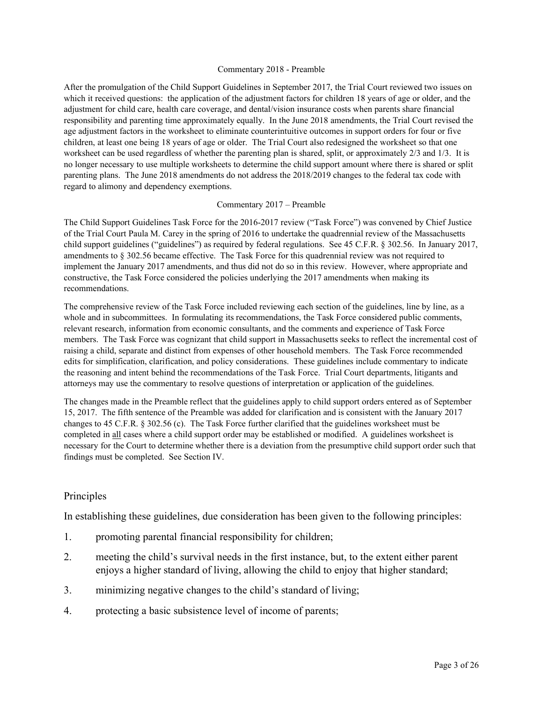#### Commentary 2018 - Preamble

After the promulgation of the Child Support Guidelines in September 2017, the Trial Court reviewed two issues on which it received questions: the application of the adjustment factors for children 18 years of age or older, and the adjustment for child care, health care coverage, and dental/vision insurance costs when parents share financial responsibility and parenting time approximately equally. In the June 2018 amendments, the Trial Court revised the age adjustment factors in the worksheet to eliminate counterintuitive outcomes in support orders for four or five children, at least one being 18 years of age or older. The Trial Court also redesigned the worksheet so that one worksheet can be used regardless of whether the parenting plan is shared, split, or approximately 2/3 and 1/3. It is no longer necessary to use multiple worksheets to determine the child support amount where there is shared or split parenting plans. The June 2018 amendments do not address the 2018/2019 changes to the federal tax code with regard to alimony and dependency exemptions.

### Commentary 2017 – Preamble

The Child Support Guidelines Task Force for the 2016-2017 review ("Task Force") was convened by Chief Justice of the Trial Court Paula M. Carey in the spring of 2016 to undertake the quadrennial review of the Massachusetts child support guidelines ("guidelines") as required by federal regulations. See 45 C.F.R. § 302.56. In January 2017, amendments to § 302.56 became effective. The Task Force for this quadrennial review was not required to implement the January 2017 amendments, and thus did not do so in this review. However, where appropriate and constructive, the Task Force considered the policies underlying the 2017 amendments when making its recommendations.

The comprehensive review of the Task Force included reviewing each section of the guidelines, line by line, as a whole and in subcommittees. In formulating its recommendations, the Task Force considered public comments, relevant research, information from economic consultants, and the comments and experience of Task Force members. The Task Force was cognizant that child support in Massachusetts seeks to reflect the incremental cost of raising a child, separate and distinct from expenses of other household members. The Task Force recommended edits for simplification, clarification, and policy considerations. These guidelines include commentary to indicate the reasoning and intent behind the recommendations of the Task Force. Trial Court departments, litigants and attorneys may use the commentary to resolve questions of interpretation or application of the guidelines.

The changes made in the Preamble reflect that the guidelines apply to child support orders entered as of September 15, 2017. The fifth sentence of the Preamble was added for clarification and is consistent with the January 2017 changes to 45 C.F.R. § 302.56 (c). The Task Force further clarified that the guidelines worksheet must be completed in all cases where a child support order may be established or modified. A guidelines worksheet is necessary for the Court to determine whether there is a deviation from the presumptive child support order such that findings must be completed. See Section IV.

## Principles

In establishing these guidelines, due consideration has been given to the following principles:

- 1. promoting parental financial responsibility for children;
- 2. meeting the child's survival needs in the first instance, but, to the extent either parent enjoys a higher standard of living, allowing the child to enjoy that higher standard;
- 3. minimizing negative changes to the child's standard of living;
- 4. protecting a basic subsistence level of income of parents;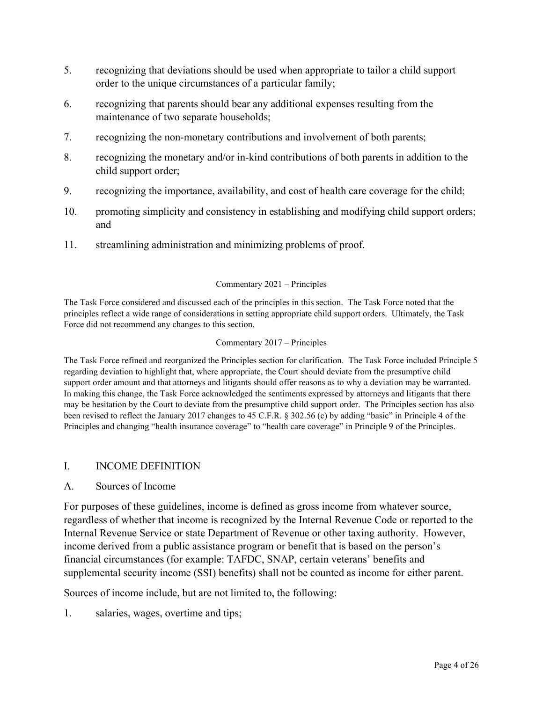- 5. recognizing that deviations should be used when appropriate to tailor a child support order to the unique circumstances of a particular family;
- 6. recognizing that parents should bear any additional expenses resulting from the maintenance of two separate households;
- 7. recognizing the non-monetary contributions and involvement of both parents;
- 8. recognizing the monetary and/or in-kind contributions of both parents in addition to the child support order;
- 9. recognizing the importance, availability, and cost of health care coverage for the child;
- 10. promoting simplicity and consistency in establishing and modifying child support orders; and
- 11. streamlining administration and minimizing problems of proof.

## Commentary 2021 – Principles

The Task Force considered and discussed each of the principles in this section. The Task Force noted that the principles reflect a wide range of considerations in setting appropriate child support orders. Ultimately, the Task Force did not recommend any changes to this section.

### Commentary 2017 – Principles

The Task Force refined and reorganized the Principles section for clarification. The Task Force included Principle 5 regarding deviation to highlight that, where appropriate, the Court should deviate from the presumptive child support order amount and that attorneys and litigants should offer reasons as to why a deviation may be warranted. In making this change, the Task Force acknowledged the sentiments expressed by attorneys and litigants that there may be hesitation by the Court to deviate from the presumptive child support order. The Principles section has also been revised to reflect the January 2017 changes to 45 C.F.R. § 302.56 (c) by adding "basic" in Principle 4 of the Principles and changing "health insurance coverage" to "health care coverage" in Principle 9 of the Principles.

## I. INCOME DEFINITION

## A. Sources of Income

For purposes of these guidelines, income is defined as gross income from whatever source, regardless of whether that income is recognized by the Internal Revenue Code or reported to the Internal Revenue Service or state Department of Revenue or other taxing authority. However, income derived from a public assistance program or benefit that is based on the person's financial circumstances (for example: TAFDC, SNAP, certain veterans' benefits and supplemental security income (SSI) benefits) shall not be counted as income for either parent.

Sources of income include, but are not limited to, the following:

1. salaries, wages, overtime and tips;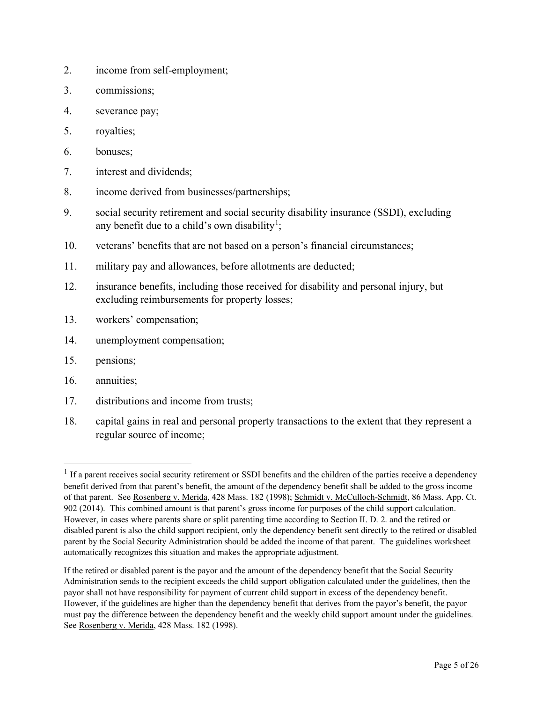- 2. income from self-employment;
- 3. commissions;
- 4. severance pay;
- 5. royalties;
- 6. bonuses;
- 7. interest and dividends;
- 8. income derived from businesses/partnerships;
- 9. social security retirement and social security disability insurance (SSDI), excluding any benefit due to a child's own disability<sup>1</sup>;
- 10. veterans' benefits that are not based on a person's financial circumstances;
- 11. military pay and allowances, before allotments are deducted;
- 12. insurance benefits, including those received for disability and personal injury, but excluding reimbursements for property losses;
- 13. workers' compensation;
- 14. unemployment compensation;
- 15. pensions;
- 16. annuities;
- 17. distributions and income from trusts;
- 18. capital gains in real and personal property transactions to the extent that they represent a regular source of income;

 $<sup>1</sup>$  If a parent receives social security retirement or SSDI benefits and the children of the parties receive a dependency</sup> benefit derived from that parent's benefit, the amount of the dependency benefit shall be added to the gross income of that parent. See Rosenberg v. Merida, 428 Mass. 182 (1998); Schmidt v. McCulloch-Schmidt, 86 Mass. App. Ct. 902 (2014). This combined amount is that parent's gross income for purposes of the child support calculation. However, in cases where parents share or split parenting time according to Section II. D. 2. and the retired or disabled parent is also the child support recipient, only the dependency benefit sent directly to the retired or disabled parent by the Social Security Administration should be added the income of that parent. The guidelines worksheet automatically recognizes this situation and makes the appropriate adjustment.

If the retired or disabled parent is the payor and the amount of the dependency benefit that the Social Security Administration sends to the recipient exceeds the child support obligation calculated under the guidelines, then the payor shall not have responsibility for payment of current child support in excess of the dependency benefit. However, if the guidelines are higher than the dependency benefit that derives from the payor's benefit, the payor must pay the difference between the dependency benefit and the weekly child support amount under the guidelines. See Rosenberg v. Merida, 428 Mass. 182 (1998).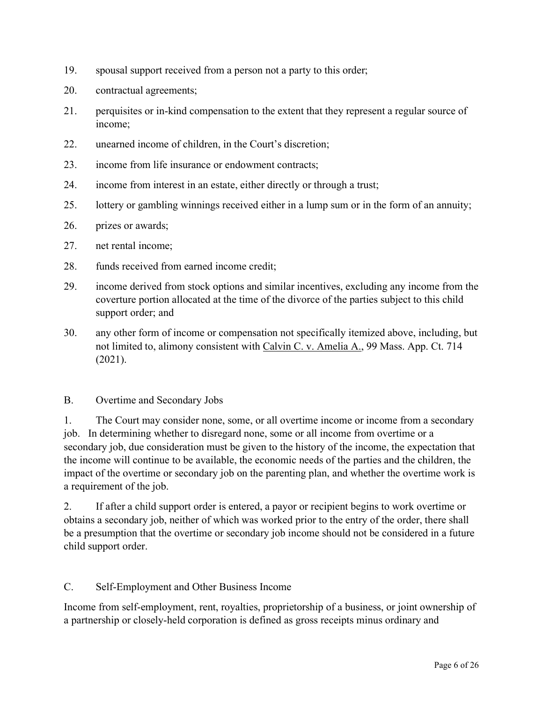- 19. spousal support received from a person not a party to this order;
- 20. contractual agreements;
- 21. perquisites or in-kind compensation to the extent that they represent a regular source of income;
- 22. unearned income of children, in the Court's discretion;
- 23. income from life insurance or endowment contracts;
- 24. income from interest in an estate, either directly or through a trust;
- 25. lottery or gambling winnings received either in a lump sum or in the form of an annuity;
- 26. prizes or awards;
- 27. net rental income;
- 28. funds received from earned income credit;
- 29. income derived from stock options and similar incentives, excluding any income from the coverture portion allocated at the time of the divorce of the parties subject to this child support order; and
- 30. any other form of income or compensation not specifically itemized above, including, but not limited to, alimony consistent with Calvin C. v. Amelia A., 99 Mass. App. Ct. 714 (2021).

## B. Overtime and Secondary Jobs

1. The Court may consider none, some, or all overtime income or income from a secondary job. In determining whether to disregard none, some or all income from overtime or a secondary job, due consideration must be given to the history of the income, the expectation that the income will continue to be available, the economic needs of the parties and the children, the impact of the overtime or secondary job on the parenting plan, and whether the overtime work is a requirement of the job.

2. If after a child support order is entered, a payor or recipient begins to work overtime or obtains a secondary job, neither of which was worked prior to the entry of the order, there shall be a presumption that the overtime or secondary job income should not be considered in a future child support order.

## C. Self-Employment and Other Business Income

Income from self-employment, rent, royalties, proprietorship of a business, or joint ownership of a partnership or closely-held corporation is defined as gross receipts minus ordinary and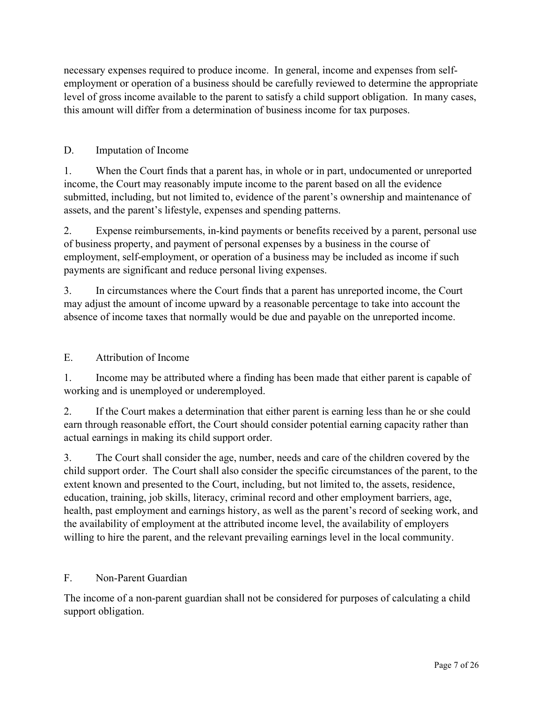necessary expenses required to produce income. In general, income and expenses from selfemployment or operation of a business should be carefully reviewed to determine the appropriate level of gross income available to the parent to satisfy a child support obligation. In many cases, this amount will differ from a determination of business income for tax purposes.

## D. Imputation of Income

1. When the Court finds that a parent has, in whole or in part, undocumented or unreported income, the Court may reasonably impute income to the parent based on all the evidence submitted, including, but not limited to, evidence of the parent's ownership and maintenance of assets, and the parent's lifestyle, expenses and spending patterns.

2. Expense reimbursements, in-kind payments or benefits received by a parent, personal use of business property, and payment of personal expenses by a business in the course of employment, self-employment, or operation of a business may be included as income if such payments are significant and reduce personal living expenses.

3. In circumstances where the Court finds that a parent has unreported income, the Court may adjust the amount of income upward by a reasonable percentage to take into account the absence of income taxes that normally would be due and payable on the unreported income.

# E. Attribution of Income

1. Income may be attributed where a finding has been made that either parent is capable of working and is unemployed or underemployed.

2. If the Court makes a determination that either parent is earning less than he or she could earn through reasonable effort, the Court should consider potential earning capacity rather than actual earnings in making its child support order.

3. The Court shall consider the age, number, needs and care of the children covered by the child support order. The Court shall also consider the specific circumstances of the parent, to the extent known and presented to the Court, including, but not limited to, the assets, residence, education, training, job skills, literacy, criminal record and other employment barriers, age, health, past employment and earnings history, as well as the parent's record of seeking work, and the availability of employment at the attributed income level, the availability of employers willing to hire the parent, and the relevant prevailing earnings level in the local community.

## F. Non-Parent Guardian

The income of a non-parent guardian shall not be considered for purposes of calculating a child support obligation.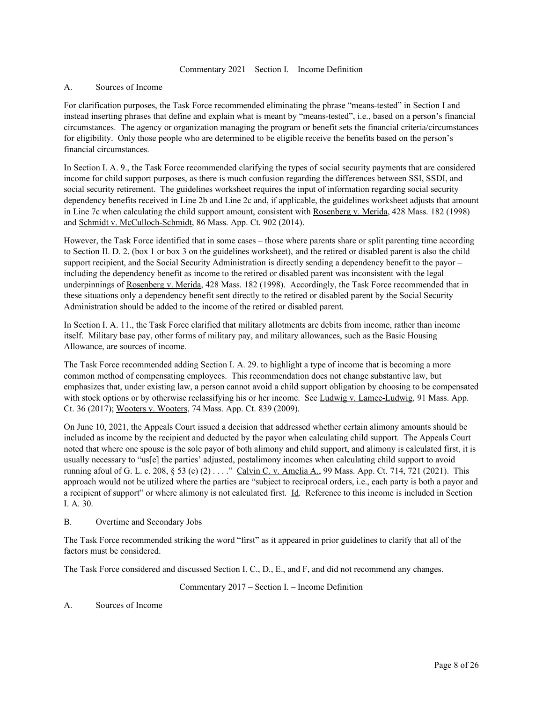#### Commentary 2021 – Section I. – Income Definition

#### A. Sources of Income

For clarification purposes, the Task Force recommended eliminating the phrase "means-tested" in Section I and instead inserting phrases that define and explain what is meant by "means-tested", i.e., based on a person's financial circumstances. The agency or organization managing the program or benefit sets the financial criteria/circumstances for eligibility. Only those people who are determined to be eligible receive the benefits based on the person's financial circumstances.

In Section I. A. 9., the Task Force recommended clarifying the types of social security payments that are considered income for child support purposes, as there is much confusion regarding the differences between SSI, SSDI, and social security retirement. The guidelines worksheet requires the input of information regarding social security dependency benefits received in Line 2b and Line 2c and, if applicable, the guidelines worksheet adjusts that amount in Line 7c when calculating the child support amount, consistent with Rosenberg v. Merida, 428 Mass. 182 (1998) and Schmidt v. McCulloch-Schmidt, 86 Mass. App. Ct. 902 (2014).

However, the Task Force identified that in some cases – those where parents share or split parenting time according to Section II. D. 2. (box 1 or box 3 on the guidelines worksheet), and the retired or disabled parent is also the child support recipient, and the Social Security Administration is directly sending a dependency benefit to the payor – including the dependency benefit as income to the retired or disabled parent was inconsistent with the legal underpinnings of Rosenberg v. Merida, 428 Mass. 182 (1998). Accordingly, the Task Force recommended that in these situations only a dependency benefit sent directly to the retired or disabled parent by the Social Security Administration should be added to the income of the retired or disabled parent.

In Section I. A. 11., the Task Force clarified that military allotments are debits from income, rather than income itself. Military base pay, other forms of military pay, and military allowances, such as the Basic Housing Allowance, are sources of income.

The Task Force recommended adding Section I. A. 29. to highlight a type of income that is becoming a more common method of compensating employees. This recommendation does not change substantive law, but emphasizes that, under existing law, a person cannot avoid a child support obligation by choosing to be compensated with stock options or by otherwise reclassifying his or her income. See Ludwig v. Lamee-Ludwig, 91 Mass. App. Ct. 36 (2017); Wooters v. Wooters, 74 Mass. App. Ct. 839 (2009).

On June 10, 2021, the Appeals Court issued a decision that addressed whether certain alimony amounts should be included as income by the recipient and deducted by the payor when calculating child support. The Appeals Court noted that where one spouse is the sole payor of both alimony and child support, and alimony is calculated first, it is usually necessary to "us[e] the parties' adjusted, postalimony incomes when calculating child support to avoid running afoul of G. L. c. 208, § 53 (c) (2) . . . ." Calvin C. v. Amelia A., 99 Mass. App. Ct. 714, 721 (2021). This approach would not be utilized where the parties are "subject to reciprocal orders, i.e., each party is both a payor and a recipient of support" or where alimony is not calculated first. Id. Reference to this income is included in Section I. A. 30.

### B. Overtime and Secondary Jobs

The Task Force recommended striking the word "first" as it appeared in prior guidelines to clarify that all of the factors must be considered.

The Task Force considered and discussed Section I. C., D., E., and F, and did not recommend any changes.

Commentary 2017 – Section I. – Income Definition

### A. Sources of Income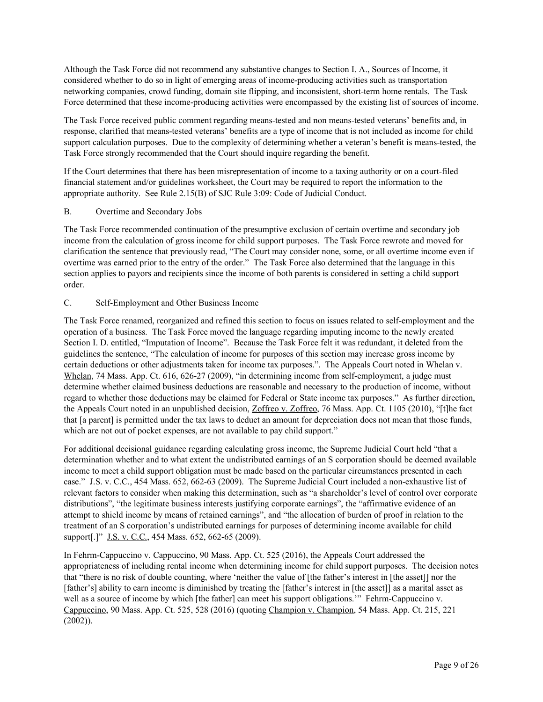Although the Task Force did not recommend any substantive changes to Section I. A., Sources of Income, it considered whether to do so in light of emerging areas of income-producing activities such as transportation networking companies, crowd funding, domain site flipping, and inconsistent, short-term home rentals. The Task Force determined that these income-producing activities were encompassed by the existing list of sources of income.

The Task Force received public comment regarding means-tested and non means-tested veterans' benefits and, in response, clarified that means-tested veterans' benefits are a type of income that is not included as income for child support calculation purposes. Due to the complexity of determining whether a veteran's benefit is means-tested, the Task Force strongly recommended that the Court should inquire regarding the benefit.

If the Court determines that there has been misrepresentation of income to a taxing authority or on a court-filed financial statement and/or guidelines worksheet, the Court may be required to report the information to the appropriate authority. See Rule 2.15(B) of SJC Rule 3:09: Code of Judicial Conduct.

### B. Overtime and Secondary Jobs

The Task Force recommended continuation of the presumptive exclusion of certain overtime and secondary job income from the calculation of gross income for child support purposes. The Task Force rewrote and moved for clarification the sentence that previously read, "The Court may consider none, some, or all overtime income even if overtime was earned prior to the entry of the order." The Task Force also determined that the language in this section applies to payors and recipients since the income of both parents is considered in setting a child support order.

### C. Self-Employment and Other Business Income

The Task Force renamed, reorganized and refined this section to focus on issues related to self-employment and the operation of a business. The Task Force moved the language regarding imputing income to the newly created Section I. D. entitled, "Imputation of Income". Because the Task Force felt it was redundant, it deleted from the guidelines the sentence, "The calculation of income for purposes of this section may increase gross income by certain deductions or other adjustments taken for income tax purposes.". The Appeals Court noted in Whelan v. Whelan, 74 Mass. App. Ct. 616, 626-27 (2009), "in determining income from self-employment, a judge must determine whether claimed business deductions are reasonable and necessary to the production of income, without regard to whether those deductions may be claimed for Federal or State income tax purposes." As further direction, the Appeals Court noted in an unpublished decision, Zoffreo v. Zoffreo, 76 Mass. App. Ct. 1105 (2010), "[t]he fact that [a parent] is permitted under the tax laws to deduct an amount for depreciation does not mean that those funds, which are not out of pocket expenses, are not available to pay child support."

For additional decisional guidance regarding calculating gross income, the Supreme Judicial Court held "that a determination whether and to what extent the undistributed earnings of an S corporation should be deemed available income to meet a child support obligation must be made based on the particular circumstances presented in each case." J.S. v. C.C., 454 Mass. 652, 662-63 (2009). The Supreme Judicial Court included a non-exhaustive list of relevant factors to consider when making this determination, such as "a shareholder's level of control over corporate distributions", "the legitimate business interests justifying corporate earnings", the "affirmative evidence of an attempt to shield income by means of retained earnings", and "the allocation of burden of proof in relation to the treatment of an S corporation's undistributed earnings for purposes of determining income available for child support[.]" J.S. v. C.C., 454 Mass. 652, 662-65 (2009).

In Fehrm-Cappuccino v. Cappuccino, 90 Mass. App. Ct. 525 (2016), the Appeals Court addressed the appropriateness of including rental income when determining income for child support purposes. The decision notes that "there is no risk of double counting, where 'neither the value of [the father's interest in [the asset]] nor the [father's] ability to earn income is diminished by treating the [father's interest in [the asset]] as a marital asset as well as a source of income by which [the father] can meet his support obligations." Fehrm-Cappuccino v. Cappuccino, 90 Mass. App. Ct. 525, 528 (2016) (quoting Champion v. Champion, 54 Mass. App. Ct. 215, 221 (2002)).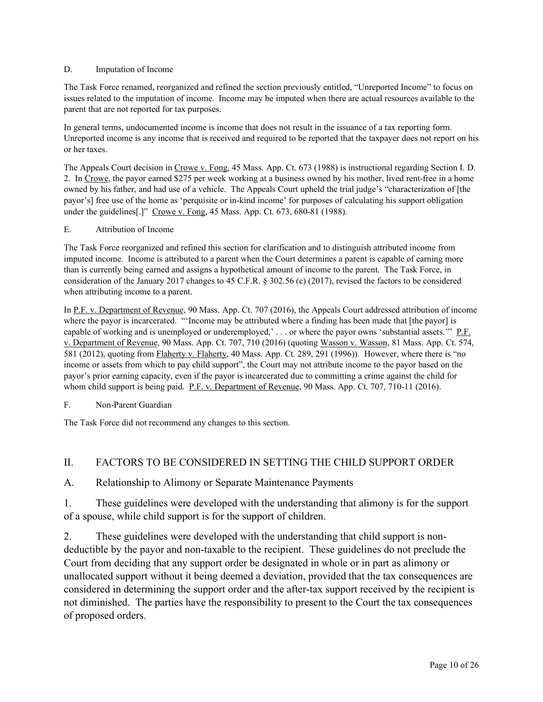### D. Imputation of Income

The Task Force renamed, reorganized and refined the section previously entitled, "Unreported Income" to focus on issues related to the imputation of income. Income may be imputed when there are actual resources available to the parent that are not reported for tax purposes.

In general terms, undocumented income is income that does not result in the issuance of a tax reporting form. Unreported income is any income that is received and required to be reported that the taxpayer does not report on his or her taxes.

The Appeals Court decision in Crowe v. Fong, 45 Mass. App. Ct. 673 (1988) is instructional regarding Section I. D. 2. In Crowe, the payor earned \$275 per week working at a business owned by his mother, lived rent-free in a home owned by his father, and had use of a vehicle. The Appeals Court upheld the trial judge's "characterization of [the payor's] free use of the home as 'perquisite or in-kind income' for purposes of calculating his support obligation under the guidelines[.]" Crowe v. Fong, 45 Mass. App. Ct. 673, 680-81 (1988).

### E. Attribution of Income

The Task Force reorganized and refined this section for clarification and to distinguish attributed income from imputed income. Income is attributed to a parent when the Court determines a parent is capable of earning more than is currently being earned and assigns a hypothetical amount of income to the parent. The Task Force, in consideration of the January 2017 changes to 45 C.F.R. § 302.56 (c) (2017), revised the factors to be considered when attributing income to a parent.

In P.F. v. Department of Revenue, 90 Mass. App. Ct. 707 (2016), the Appeals Court addressed attribution of income where the payor is incarcerated. "The may be attributed where a finding has been made that [the payor] is capable of working and is unemployed or underemployed,'... or where the payor owns 'substantial assets.'"  $P.F.$ v. Department of Revenue, 90 Mass. App. Ct. 707, 710 (2016) (quoting Wasson v. Wasson, 81 Mass. App. Ct. 574, 581 (2012), quoting from Flaherty v. Flaherty, 40 Mass. App. Ct. 289, 291 (1996)). However, where there is "no income or assets from which to pay child support", the Court may not attribute income to the payor based on the payor's prior earning capacity, even if the payor is incarcerated due to committing a crime against the child for whom child support is being paid. P.F. v. Department of Revenue, 90 Mass. App. Ct. 707, 710-11 (2016).

F. Non-Parent Guardian

The Task Force did not recommend any changes to this section.

## II. FACTORS TO BE CONSIDERED IN SETTING THE CHILD SUPPORT ORDER

## A. Relationship to Alimony or Separate Maintenance Payments

1. These guidelines were developed with the understanding that alimony is for the support of a spouse, while child support is for the support of children.

2. These guidelines were developed with the understanding that child support is nondeductible by the payor and non-taxable to the recipient. These guidelines do not preclude the Court from deciding that any support order be designated in whole or in part as alimony or unallocated support without it being deemed a deviation, provided that the tax consequences are considered in determining the support order and the after-tax support received by the recipient is not diminished. The parties have the responsibility to present to the Court the tax consequences of proposed orders.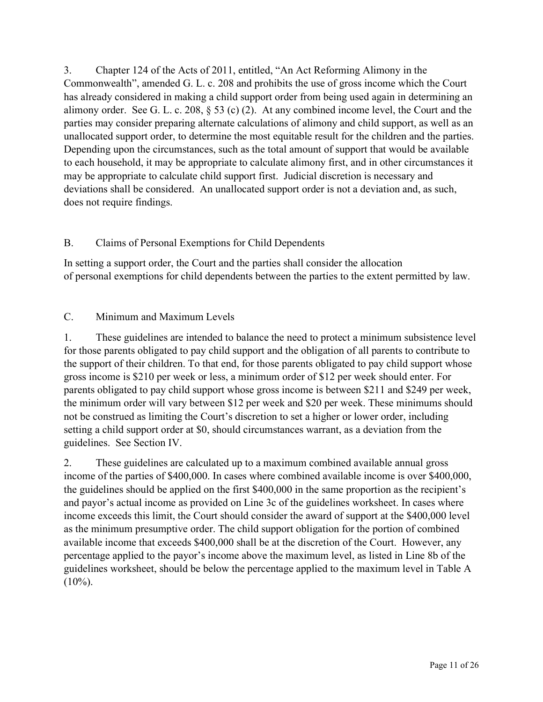3. Chapter 124 of the Acts of 2011, entitled, "An Act Reforming Alimony in the Commonwealth", amended G. L. c. 208 and prohibits the use of gross income which the Court has already considered in making a child support order from being used again in determining an alimony order. See G. L. c. 208,  $\S$  53 (c) (2). At any combined income level, the Court and the parties may consider preparing alternate calculations of alimony and child support, as well as an unallocated support order, to determine the most equitable result for the children and the parties. Depending upon the circumstances, such as the total amount of support that would be available to each household, it may be appropriate to calculate alimony first, and in other circumstances it may be appropriate to calculate child support first. Judicial discretion is necessary and deviations shall be considered. An unallocated support order is not a deviation and, as such, does not require findings.

# B. Claims of Personal Exemptions for Child Dependents

In setting a support order, the Court and the parties shall consider the allocation of personal exemptions for child dependents between the parties to the extent permitted by law.

# C. Minimum and Maximum Levels

1. These guidelines are intended to balance the need to protect a minimum subsistence level for those parents obligated to pay child support and the obligation of all parents to contribute to the support of their children. To that end, for those parents obligated to pay child support whose gross income is \$210 per week or less, a minimum order of \$12 per week should enter. For parents obligated to pay child support whose gross income is between \$211 and \$249 per week, the minimum order will vary between \$12 per week and \$20 per week. These minimums should not be construed as limiting the Court's discretion to set a higher or lower order, including setting a child support order at \$0, should circumstances warrant, as a deviation from the guidelines. See Section IV.

2. These guidelines are calculated up to a maximum combined available annual gross income of the parties of \$400,000. In cases where combined available income is over \$400,000, the guidelines should be applied on the first \$400,000 in the same proportion as the recipient's and payor's actual income as provided on Line 3c of the guidelines worksheet. In cases where income exceeds this limit, the Court should consider the award of support at the \$400,000 level as the minimum presumptive order. The child support obligation for the portion of combined available income that exceeds \$400,000 shall be at the discretion of the Court. However, any percentage applied to the payor's income above the maximum level, as listed in Line 8b of the guidelines worksheet, should be below the percentage applied to the maximum level in Table A  $(10\%)$ .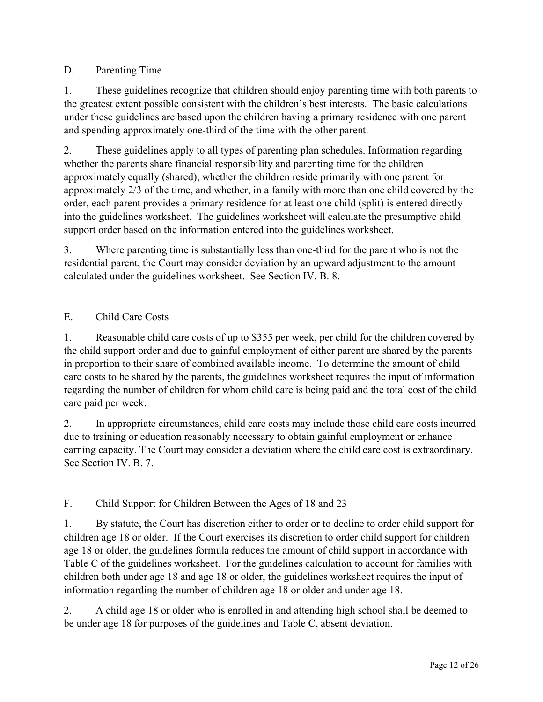# D. Parenting Time

1. These guidelines recognize that children should enjoy parenting time with both parents to the greatest extent possible consistent with the children's best interests. The basic calculations under these guidelines are based upon the children having a primary residence with one parent and spending approximately one-third of the time with the other parent.

2. These guidelines apply to all types of parenting plan schedules. Information regarding whether the parents share financial responsibility and parenting time for the children approximately equally (shared), whether the children reside primarily with one parent for approximately 2/3 of the time, and whether, in a family with more than one child covered by the order, each parent provides a primary residence for at least one child (split) is entered directly into the guidelines worksheet. The guidelines worksheet will calculate the presumptive child support order based on the information entered into the guidelines worksheet.

3. Where parenting time is substantially less than one-third for the parent who is not the residential parent, the Court may consider deviation by an upward adjustment to the amount calculated under the guidelines worksheet. See Section IV. B. 8.

# E. Child Care Costs

1. Reasonable child care costs of up to \$355 per week, per child for the children covered by the child support order and due to gainful employment of either parent are shared by the parents in proportion to their share of combined available income. To determine the amount of child care costs to be shared by the parents, the guidelines worksheet requires the input of information regarding the number of children for whom child care is being paid and the total cost of the child care paid per week.

2. In appropriate circumstances, child care costs may include those child care costs incurred due to training or education reasonably necessary to obtain gainful employment or enhance earning capacity. The Court may consider a deviation where the child care cost is extraordinary. See Section IV. B. 7.

# F. Child Support for Children Between the Ages of 18 and 23

1. By statute, the Court has discretion either to order or to decline to order child support for children age 18 or older. If the Court exercises its discretion to order child support for children age 18 or older, the guidelines formula reduces the amount of child support in accordance with Table C of the guidelines worksheet. For the guidelines calculation to account for families with children both under age 18 and age 18 or older, the guidelines worksheet requires the input of information regarding the number of children age 18 or older and under age 18.

2. A child age 18 or older who is enrolled in and attending high school shall be deemed to be under age 18 for purposes of the guidelines and Table C, absent deviation.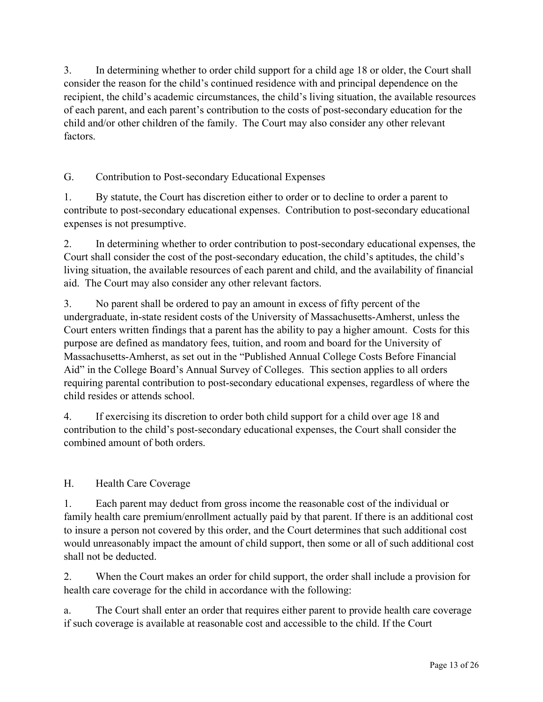3. In determining whether to order child support for a child age 18 or older, the Court shall consider the reason for the child's continued residence with and principal dependence on the recipient, the child's academic circumstances, the child's living situation, the available resources of each parent, and each parent's contribution to the costs of post-secondary education for the child and/or other children of the family. The Court may also consider any other relevant factors.

G. Contribution to Post-secondary Educational Expenses

1. By statute, the Court has discretion either to order or to decline to order a parent to contribute to post-secondary educational expenses. Contribution to post-secondary educational expenses is not presumptive.

2. In determining whether to order contribution to post-secondary educational expenses, the Court shall consider the cost of the post-secondary education, the child's aptitudes, the child's living situation, the available resources of each parent and child, and the availability of financial aid. The Court may also consider any other relevant factors.

3. No parent shall be ordered to pay an amount in excess of fifty percent of the undergraduate, in-state resident costs of the University of Massachusetts-Amherst, unless the Court enters written findings that a parent has the ability to pay a higher amount. Costs for this purpose are defined as mandatory fees, tuition, and room and board for the University of Massachusetts-Amherst, as set out in the "Published Annual College Costs Before Financial Aid" in the College Board's Annual Survey of Colleges. This section applies to all orders requiring parental contribution to post-secondary educational expenses, regardless of where the child resides or attends school.

4. If exercising its discretion to order both child support for a child over age 18 and contribution to the child's post-secondary educational expenses, the Court shall consider the combined amount of both orders.

# H. Health Care Coverage

1. Each parent may deduct from gross income the reasonable cost of the individual or family health care premium/enrollment actually paid by that parent. If there is an additional cost to insure a person not covered by this order, and the Court determines that such additional cost would unreasonably impact the amount of child support, then some or all of such additional cost shall not be deducted.

2. When the Court makes an order for child support, the order shall include a provision for health care coverage for the child in accordance with the following:

a. The Court shall enter an order that requires either parent to provide health care coverage if such coverage is available at reasonable cost and accessible to the child. If the Court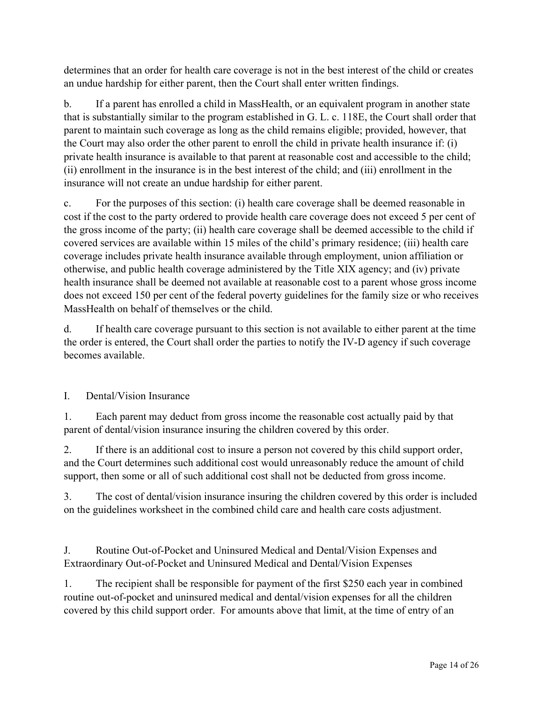determines that an order for health care coverage is not in the best interest of the child or creates an undue hardship for either parent, then the Court shall enter written findings.

b. If a parent has enrolled a child in MassHealth, or an equivalent program in another state that is substantially similar to the program established in G. L. c. 118E, the Court shall order that parent to maintain such coverage as long as the child remains eligible; provided, however, that the Court may also order the other parent to enroll the child in private health insurance if: (i) private health insurance is available to that parent at reasonable cost and accessible to the child; (ii) enrollment in the insurance is in the best interest of the child; and (iii) enrollment in the insurance will not create an undue hardship for either parent.

c. For the purposes of this section: (i) health care coverage shall be deemed reasonable in cost if the cost to the party ordered to provide health care coverage does not exceed 5 per cent of the gross income of the party; (ii) health care coverage shall be deemed accessible to the child if covered services are available within 15 miles of the child's primary residence; (iii) health care coverage includes private health insurance available through employment, union affiliation or otherwise, and public health coverage administered by the Title XIX agency; and (iv) private health insurance shall be deemed not available at reasonable cost to a parent whose gross income does not exceed 150 per cent of the federal poverty guidelines for the family size or who receives MassHealth on behalf of themselves or the child.

d. If health care coverage pursuant to this section is not available to either parent at the time the order is entered, the Court shall order the parties to notify the IV-D agency if such coverage becomes available.

# I. Dental/Vision Insurance

1. Each parent may deduct from gross income the reasonable cost actually paid by that parent of dental/vision insurance insuring the children covered by this order.

2. If there is an additional cost to insure a person not covered by this child support order, and the Court determines such additional cost would unreasonably reduce the amount of child support, then some or all of such additional cost shall not be deducted from gross income.

3. The cost of dental/vision insurance insuring the children covered by this order is included on the guidelines worksheet in the combined child care and health care costs adjustment.

J. Routine Out-of-Pocket and Uninsured Medical and Dental/Vision Expenses and Extraordinary Out-of-Pocket and Uninsured Medical and Dental/Vision Expenses

1. The recipient shall be responsible for payment of the first \$250 each year in combined routine out-of-pocket and uninsured medical and dental/vision expenses for all the children covered by this child support order. For amounts above that limit, at the time of entry of an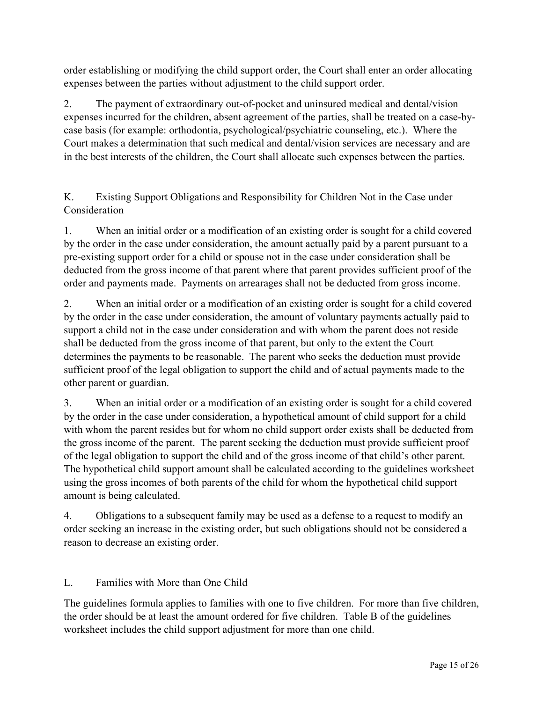order establishing or modifying the child support order, the Court shall enter an order allocating expenses between the parties without adjustment to the child support order.

2. The payment of extraordinary out-of-pocket and uninsured medical and dental/vision expenses incurred for the children, absent agreement of the parties, shall be treated on a case-bycase basis (for example: orthodontia, psychological/psychiatric counseling, etc.). Where the Court makes a determination that such medical and dental/vision services are necessary and are in the best interests of the children, the Court shall allocate such expenses between the parties.

K. Existing Support Obligations and Responsibility for Children Not in the Case under Consideration

1. When an initial order or a modification of an existing order is sought for a child covered by the order in the case under consideration, the amount actually paid by a parent pursuant to a pre-existing support order for a child or spouse not in the case under consideration shall be deducted from the gross income of that parent where that parent provides sufficient proof of the order and payments made. Payments on arrearages shall not be deducted from gross income.

2. When an initial order or a modification of an existing order is sought for a child covered by the order in the case under consideration, the amount of voluntary payments actually paid to support a child not in the case under consideration and with whom the parent does not reside shall be deducted from the gross income of that parent, but only to the extent the Court determines the payments to be reasonable. The parent who seeks the deduction must provide sufficient proof of the legal obligation to support the child and of actual payments made to the other parent or guardian.

3. When an initial order or a modification of an existing order is sought for a child covered by the order in the case under consideration, a hypothetical amount of child support for a child with whom the parent resides but for whom no child support order exists shall be deducted from the gross income of the parent. The parent seeking the deduction must provide sufficient proof of the legal obligation to support the child and of the gross income of that child's other parent. The hypothetical child support amount shall be calculated according to the guidelines worksheet using the gross incomes of both parents of the child for whom the hypothetical child support amount is being calculated.

4. Obligations to a subsequent family may be used as a defense to a request to modify an order seeking an increase in the existing order, but such obligations should not be considered a reason to decrease an existing order.

L. Families with More than One Child

The guidelines formula applies to families with one to five children. For more than five children, the order should be at least the amount ordered for five children. Table B of the guidelines worksheet includes the child support adjustment for more than one child.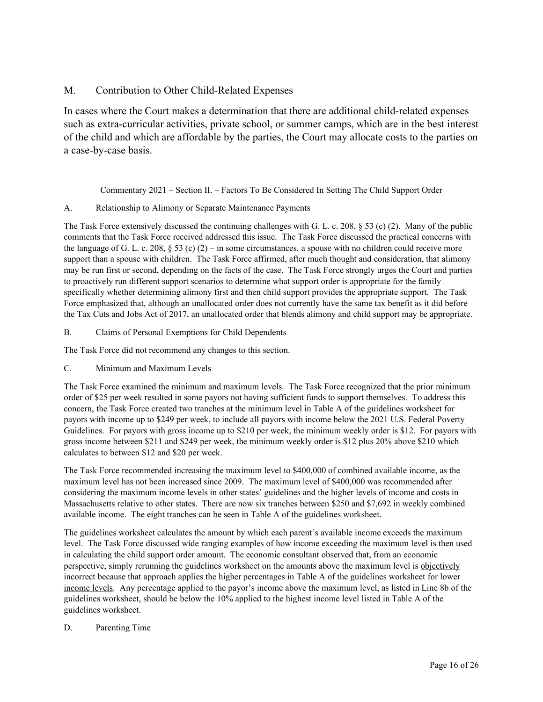## M. Contribution to Other Child-Related Expenses

In cases where the Court makes a determination that there are additional child-related expenses such as extra-curricular activities, private school, or summer camps, which are in the best interest of the child and which are affordable by the parties, the Court may allocate costs to the parties on a case-by-case basis.

Commentary 2021 – Section II. – Factors To Be Considered In Setting The Child Support Order

## A. Relationship to Alimony or Separate Maintenance Payments

The Task Force extensively discussed the continuing challenges with G. L. c. 208, § 53 (c) (2). Many of the public comments that the Task Force received addressed this issue. The Task Force discussed the practical concerns with the language of G. L. c. 208, § 53 (c) (2) – in some circumstances, a spouse with no children could receive more support than a spouse with children. The Task Force affirmed, after much thought and consideration, that alimony may be run first or second, depending on the facts of the case. The Task Force strongly urges the Court and parties to proactively run different support scenarios to determine what support order is appropriate for the family – specifically whether determining alimony first and then child support provides the appropriate support. The Task Force emphasized that, although an unallocated order does not currently have the same tax benefit as it did before the Tax Cuts and Jobs Act of 2017, an unallocated order that blends alimony and child support may be appropriate.

B. Claims of Personal Exemptions for Child Dependents

The Task Force did not recommend any changes to this section.

C. Minimum and Maximum Levels

The Task Force examined the minimum and maximum levels. The Task Force recognized that the prior minimum order of \$25 per week resulted in some payors not having sufficient funds to support themselves. To address this concern, the Task Force created two tranches at the minimum level in Table A of the guidelines worksheet for payors with income up to \$249 per week, to include all payors with income below the 2021 U.S. Federal Poverty Guidelines. For payors with gross income up to \$210 per week, the minimum weekly order is \$12. For payors with gross income between \$211 and \$249 per week, the minimum weekly order is \$12 plus 20% above \$210 which calculates to between \$12 and \$20 per week.

The Task Force recommended increasing the maximum level to \$400,000 of combined available income, as the maximum level has not been increased since 2009. The maximum level of \$400,000 was recommended after considering the maximum income levels in other states' guidelines and the higher levels of income and costs in Massachusetts relative to other states. There are now six tranches between \$250 and \$7,692 in weekly combined available income. The eight tranches can be seen in Table A of the guidelines worksheet.

The guidelines worksheet calculates the amount by which each parent's available income exceeds the maximum level. The Task Force discussed wide ranging examples of how income exceeding the maximum level is then used in calculating the child support order amount. The economic consultant observed that, from an economic perspective, simply rerunning the guidelines worksheet on the amounts above the maximum level is objectively incorrect because that approach applies the higher percentages in Table A of the guidelines worksheet for lower income levels. Any percentage applied to the payor's income above the maximum level, as listed in Line 8b of the guidelines worksheet, should be below the 10% applied to the highest income level listed in Table A of the guidelines worksheet.

### D. Parenting Time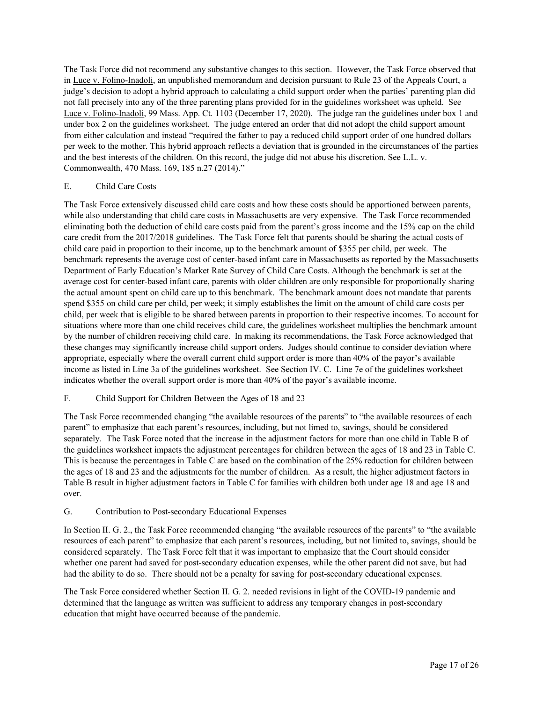The Task Force did not recommend any substantive changes to this section. However, the Task Force observed that in Luce v. Folino-Inadoli, an unpublished memorandum and decision pursuant to Rule 23 of the Appeals Court, a judge's decision to adopt a hybrid approach to calculating a child support order when the parties' parenting plan did not fall precisely into any of the three parenting plans provided for in the guidelines worksheet was upheld. See Luce v. Folino-Inadoli, 99 Mass. App. Ct. 1103 (December 17, 2020). The judge ran the guidelines under box 1 and under box 2 on the guidelines worksheet. The judge entered an order that did not adopt the child support amount from either calculation and instead "required the father to pay a reduced child support order of one hundred dollars per week to the mother. This hybrid approach reflects a deviation that is grounded in the circumstances of the parties and the best interests of the children. On this record, the judge did not abuse his discretion. See L.L. v. Commonwealth, 470 Mass. 169, 185 n.27 (2014)."

### E. Child Care Costs

The Task Force extensively discussed child care costs and how these costs should be apportioned between parents, while also understanding that child care costs in Massachusetts are very expensive. The Task Force recommended eliminating both the deduction of child care costs paid from the parent's gross income and the 15% cap on the child care credit from the 2017/2018 guidelines. The Task Force felt that parents should be sharing the actual costs of child care paid in proportion to their income, up to the benchmark amount of \$355 per child, per week. The benchmark represents the average cost of center-based infant care in Massachusetts as reported by the Massachusetts Department of Early Education's Market Rate Survey of Child Care Costs. Although the benchmark is set at the average cost for center-based infant care, parents with older children are only responsible for proportionally sharing the actual amount spent on child care up to this benchmark. The benchmark amount does not mandate that parents spend \$355 on child care per child, per week; it simply establishes the limit on the amount of child care costs per child, per week that is eligible to be shared between parents in proportion to their respective incomes. To account for situations where more than one child receives child care, the guidelines worksheet multiplies the benchmark amount by the number of children receiving child care. In making its recommendations, the Task Force acknowledged that these changes may significantly increase child support orders. Judges should continue to consider deviation where appropriate, especially where the overall current child support order is more than 40% of the payor's available income as listed in Line 3a of the guidelines worksheet. See Section IV. C. Line 7e of the guidelines worksheet indicates whether the overall support order is more than 40% of the payor's available income.

### F. Child Support for Children Between the Ages of 18 and 23

The Task Force recommended changing "the available resources of the parents" to "the available resources of each parent" to emphasize that each parent's resources, including, but not limed to, savings, should be considered separately. The Task Force noted that the increase in the adjustment factors for more than one child in Table B of the guidelines worksheet impacts the adjustment percentages for children between the ages of 18 and 23 in Table C. This is because the percentages in Table C are based on the combination of the 25% reduction for children between the ages of 18 and 23 and the adjustments for the number of children. As a result, the higher adjustment factors in Table B result in higher adjustment factors in Table C for families with children both under age 18 and age 18 and over.

### G. Contribution to Post-secondary Educational Expenses

In Section II. G. 2., the Task Force recommended changing "the available resources of the parents" to "the available resources of each parent" to emphasize that each parent's resources, including, but not limited to, savings, should be considered separately. The Task Force felt that it was important to emphasize that the Court should consider whether one parent had saved for post-secondary education expenses, while the other parent did not save, but had had the ability to do so. There should not be a penalty for saving for post-secondary educational expenses.

The Task Force considered whether Section II. G. 2. needed revisions in light of the COVID-19 pandemic and determined that the language as written was sufficient to address any temporary changes in post-secondary education that might have occurred because of the pandemic.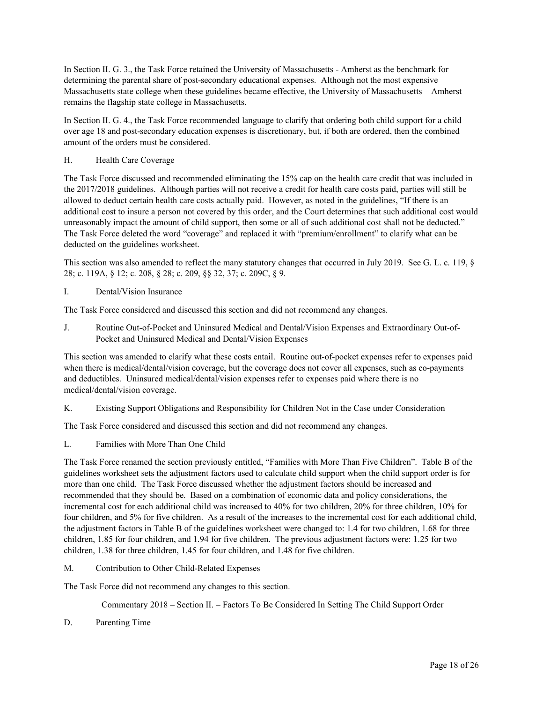In Section II. G. 3., the Task Force retained the University of Massachusetts - Amherst as the benchmark for determining the parental share of post-secondary educational expenses. Although not the most expensive Massachusetts state college when these guidelines became effective, the University of Massachusetts – Amherst remains the flagship state college in Massachusetts.

In Section II. G. 4., the Task Force recommended language to clarify that ordering both child support for a child over age 18 and post-secondary education expenses is discretionary, but, if both are ordered, then the combined amount of the orders must be considered.

### H. Health Care Coverage

The Task Force discussed and recommended eliminating the 15% cap on the health care credit that was included in the 2017/2018 guidelines. Although parties will not receive a credit for health care costs paid, parties will still be allowed to deduct certain health care costs actually paid. However, as noted in the guidelines, "If there is an additional cost to insure a person not covered by this order, and the Court determines that such additional cost would unreasonably impact the amount of child support, then some or all of such additional cost shall not be deducted." The Task Force deleted the word "coverage" and replaced it with "premium/enrollment" to clarify what can be deducted on the guidelines worksheet.

This section was also amended to reflect the many statutory changes that occurred in July 2019. See G. L. c. 119, § 28; c. 119A, § 12; c. 208, § 28; c. 209, §§ 32, 37; c. 209C, § 9.

I. Dental/Vision Insurance

The Task Force considered and discussed this section and did not recommend any changes.

J. Routine Out-of-Pocket and Uninsured Medical and Dental/Vision Expenses and Extraordinary Out-of-Pocket and Uninsured Medical and Dental/Vision Expenses

This section was amended to clarify what these costs entail. Routine out-of-pocket expenses refer to expenses paid when there is medical/dental/vision coverage, but the coverage does not cover all expenses, such as co-payments and deductibles. Uninsured medical/dental/vision expenses refer to expenses paid where there is no medical/dental/vision coverage.

K. Existing Support Obligations and Responsibility for Children Not in the Case under Consideration

The Task Force considered and discussed this section and did not recommend any changes.

L. Families with More Than One Child

The Task Force renamed the section previously entitled, "Families with More Than Five Children". Table B of the guidelines worksheet sets the adjustment factors used to calculate child support when the child support order is for more than one child. The Task Force discussed whether the adjustment factors should be increased and recommended that they should be. Based on a combination of economic data and policy considerations, the incremental cost for each additional child was increased to 40% for two children, 20% for three children, 10% for four children, and 5% for five children. As a result of the increases to the incremental cost for each additional child, the adjustment factors in Table B of the guidelines worksheet were changed to: 1.4 for two children, 1.68 for three children, 1.85 for four children, and 1.94 for five children. The previous adjustment factors were: 1.25 for two children, 1.38 for three children, 1.45 for four children, and 1.48 for five children.

M. Contribution to Other Child-Related Expenses

The Task Force did not recommend any changes to this section.

Commentary 2018 – Section II. – Factors To Be Considered In Setting The Child Support Order

D. Parenting Time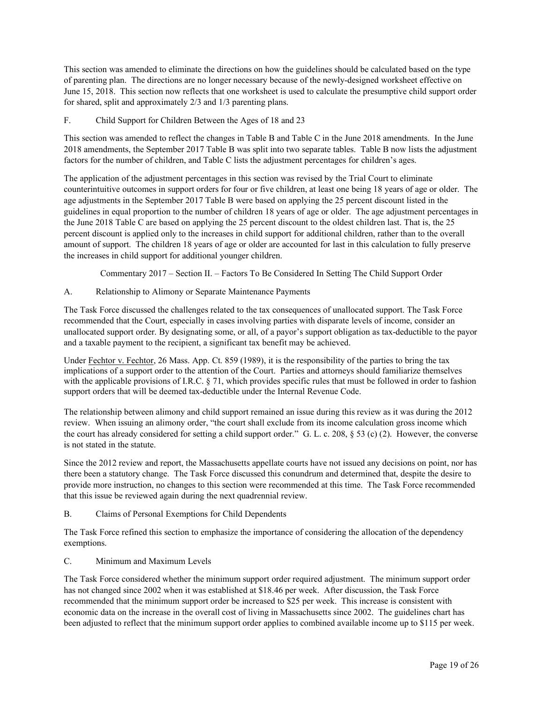This section was amended to eliminate the directions on how the guidelines should be calculated based on the type of parenting plan. The directions are no longer necessary because of the newly-designed worksheet effective on June 15, 2018. This section now reflects that one worksheet is used to calculate the presumptive child support order for shared, split and approximately 2/3 and 1/3 parenting plans.

F. Child Support for Children Between the Ages of 18 and 23

This section was amended to reflect the changes in Table B and Table C in the June 2018 amendments. In the June 2018 amendments, the September 2017 Table B was split into two separate tables. Table B now lists the adjustment factors for the number of children, and Table C lists the adjustment percentages for children's ages.

The application of the adjustment percentages in this section was revised by the Trial Court to eliminate counterintuitive outcomes in support orders for four or five children, at least one being 18 years of age or older. The age adjustments in the September 2017 Table B were based on applying the 25 percent discount listed in the guidelines in equal proportion to the number of children 18 years of age or older. The age adjustment percentages in the June 2018 Table C are based on applying the 25 percent discount to the oldest children last. That is, the 25 percent discount is applied only to the increases in child support for additional children, rather than to the overall amount of support. The children 18 years of age or older are accounted for last in this calculation to fully preserve the increases in child support for additional younger children.

Commentary 2017 – Section II. – Factors To Be Considered In Setting The Child Support Order

A. Relationship to Alimony or Separate Maintenance Payments

The Task Force discussed the challenges related to the tax consequences of unallocated support. The Task Force recommended that the Court, especially in cases involving parties with disparate levels of income, consider an unallocated support order. By designating some, or all, of a payor's support obligation as tax-deductible to the payor and a taxable payment to the recipient, a significant tax benefit may be achieved.

Under Fechtor v. Fechtor, 26 Mass. App. Ct. 859 (1989), it is the responsibility of the parties to bring the tax implications of a support order to the attention of the Court. Parties and attorneys should familiarize themselves with the applicable provisions of I.R.C. § 71, which provides specific rules that must be followed in order to fashion support orders that will be deemed tax-deductible under the Internal Revenue Code.

The relationship between alimony and child support remained an issue during this review as it was during the 2012 review. When issuing an alimony order, "the court shall exclude from its income calculation gross income which the court has already considered for setting a child support order." G. L. c. 208, § 53 (c) (2). However, the converse is not stated in the statute.

Since the 2012 review and report, the Massachusetts appellate courts have not issued any decisions on point, nor has there been a statutory change. The Task Force discussed this conundrum and determined that, despite the desire to provide more instruction, no changes to this section were recommended at this time. The Task Force recommended that this issue be reviewed again during the next quadrennial review.

B. Claims of Personal Exemptions for Child Dependents

The Task Force refined this section to emphasize the importance of considering the allocation of the dependency exemptions.

C. Minimum and Maximum Levels

The Task Force considered whether the minimum support order required adjustment. The minimum support order has not changed since 2002 when it was established at \$18.46 per week. After discussion, the Task Force recommended that the minimum support order be increased to \$25 per week. This increase is consistent with economic data on the increase in the overall cost of living in Massachusetts since 2002. The guidelines chart has been adjusted to reflect that the minimum support order applies to combined available income up to \$115 per week.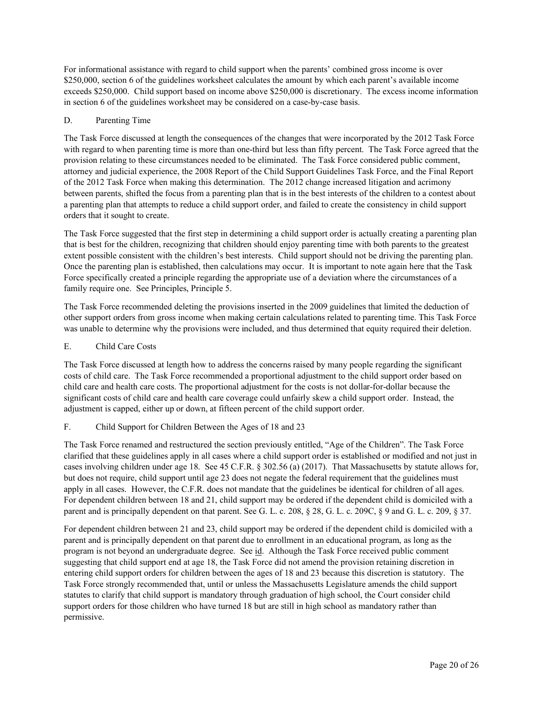For informational assistance with regard to child support when the parents' combined gross income is over \$250,000, section 6 of the guidelines worksheet calculates the amount by which each parent's available income exceeds \$250,000. Child support based on income above \$250,000 is discretionary. The excess income information in section 6 of the guidelines worksheet may be considered on a case-by-case basis.

### D. Parenting Time

The Task Force discussed at length the consequences of the changes that were incorporated by the 2012 Task Force with regard to when parenting time is more than one-third but less than fifty percent. The Task Force agreed that the provision relating to these circumstances needed to be eliminated. The Task Force considered public comment, attorney and judicial experience, the 2008 Report of the Child Support Guidelines Task Force, and the Final Report of the 2012 Task Force when making this determination. The 2012 change increased litigation and acrimony between parents, shifted the focus from a parenting plan that is in the best interests of the children to a contest about a parenting plan that attempts to reduce a child support order, and failed to create the consistency in child support orders that it sought to create.

The Task Force suggested that the first step in determining a child support order is actually creating a parenting plan that is best for the children, recognizing that children should enjoy parenting time with both parents to the greatest extent possible consistent with the children's best interests. Child support should not be driving the parenting plan. Once the parenting plan is established, then calculations may occur. It is important to note again here that the Task Force specifically created a principle regarding the appropriate use of a deviation where the circumstances of a family require one. See Principles, Principle 5.

The Task Force recommended deleting the provisions inserted in the 2009 guidelines that limited the deduction of other support orders from gross income when making certain calculations related to parenting time. This Task Force was unable to determine why the provisions were included, and thus determined that equity required their deletion.

### E. Child Care Costs

The Task Force discussed at length how to address the concerns raised by many people regarding the significant costs of child care. The Task Force recommended a proportional adjustment to the child support order based on child care and health care costs. The proportional adjustment for the costs is not dollar-for-dollar because the significant costs of child care and health care coverage could unfairly skew a child support order. Instead, the adjustment is capped, either up or down, at fifteen percent of the child support order.

### F. Child Support for Children Between the Ages of 18 and 23

The Task Force renamed and restructured the section previously entitled, "Age of the Children". The Task Force clarified that these guidelines apply in all cases where a child support order is established or modified and not just in cases involving children under age 18. See 45 C.F.R. § 302.56 (a) (2017). That Massachusetts by statute allows for, but does not require, child support until age 23 does not negate the federal requirement that the guidelines must apply in all cases. However, the C.F.R. does not mandate that the guidelines be identical for children of all ages. For dependent children between 18 and 21, child support may be ordered if the dependent child is domiciled with a parent and is principally dependent on that parent. See G. L. c. 208, § 28, G. L. c. 209C, § 9 and G. L. c. 209, § 37.

For dependent children between 21 and 23, child support may be ordered if the dependent child is domiciled with a parent and is principally dependent on that parent due to enrollment in an educational program, as long as the program is not beyond an undergraduate degree. See id. Although the Task Force received public comment suggesting that child support end at age 18, the Task Force did not amend the provision retaining discretion in entering child support orders for children between the ages of 18 and 23 because this discretion is statutory. The Task Force strongly recommended that, until or unless the Massachusetts Legislature amends the child support statutes to clarify that child support is mandatory through graduation of high school, the Court consider child support orders for those children who have turned 18 but are still in high school as mandatory rather than permissive.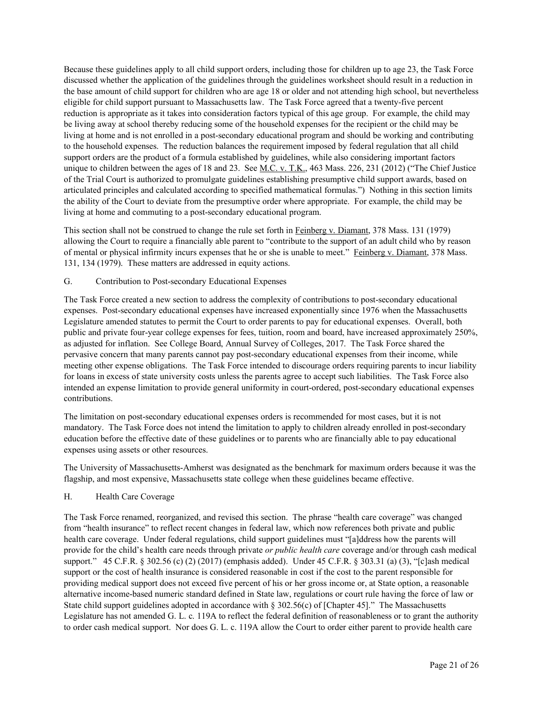Because these guidelines apply to all child support orders, including those for children up to age 23, the Task Force discussed whether the application of the guidelines through the guidelines worksheet should result in a reduction in the base amount of child support for children who are age 18 or older and not attending high school, but nevertheless eligible for child support pursuant to Massachusetts law. The Task Force agreed that a twenty-five percent reduction is appropriate as it takes into consideration factors typical of this age group. For example, the child may be living away at school thereby reducing some of the household expenses for the recipient or the child may be living at home and is not enrolled in a post-secondary educational program and should be working and contributing to the household expenses. The reduction balances the requirement imposed by federal regulation that all child support orders are the product of a formula established by guidelines, while also considering important factors unique to children between the ages of 18 and 23. See <u>M.C. v. T.K.</u>, 463 Mass. 226, 231 (2012) ("The Chief Justice of the Trial Court is authorized to promulgate guidelines establishing presumptive child support awards, based on articulated principles and calculated according to specified mathematical formulas.") Nothing in this section limits the ability of the Court to deviate from the presumptive order where appropriate. For example, the child may be living at home and commuting to a post-secondary educational program.

This section shall not be construed to change the rule set forth in Feinberg v. Diamant, 378 Mass. 131 (1979) allowing the Court to require a financially able parent to "contribute to the support of an adult child who by reason of mental or physical infirmity incurs expenses that he or she is unable to meet." Feinberg v. Diamant, 378 Mass. 131, 134 (1979). These matters are addressed in equity actions.

### G. Contribution to Post-secondary Educational Expenses

The Task Force created a new section to address the complexity of contributions to post-secondary educational expenses. Post-secondary educational expenses have increased exponentially since 1976 when the Massachusetts Legislature amended statutes to permit the Court to order parents to pay for educational expenses. Overall, both public and private four-year college expenses for fees, tuition, room and board, have increased approximately 250%, as adjusted for inflation. See College Board, Annual Survey of Colleges, 2017. The Task Force shared the pervasive concern that many parents cannot pay post-secondary educational expenses from their income, while meeting other expense obligations. The Task Force intended to discourage orders requiring parents to incur liability for loans in excess of state university costs unless the parents agree to accept such liabilities. The Task Force also intended an expense limitation to provide general uniformity in court-ordered, post-secondary educational expenses contributions.

The limitation on post-secondary educational expenses orders is recommended for most cases, but it is not mandatory. The Task Force does not intend the limitation to apply to children already enrolled in post-secondary education before the effective date of these guidelines or to parents who are financially able to pay educational expenses using assets or other resources.

The University of Massachusetts-Amherst was designated as the benchmark for maximum orders because it was the flagship, and most expensive, Massachusetts state college when these guidelines became effective.

H. Health Care Coverage

The Task Force renamed, reorganized, and revised this section. The phrase "health care coverage" was changed from "health insurance" to reflect recent changes in federal law, which now references both private and public health care coverage. Under federal regulations, child support guidelines must "[a]ddress how the parents will provide for the child's health care needs through private *or public health care* coverage and/or through cash medical support." 45 C.F.R. § 302.56 (c) (2) (2017) (emphasis added). Under 45 C.F.R. § 303.31 (a) (3), "[c]ash medical support or the cost of health insurance is considered reasonable in cost if the cost to the parent responsible for providing medical support does not exceed five percent of his or her gross income or, at State option, a reasonable alternative income-based numeric standard defined in State law, regulations or court rule having the force of law or State child support guidelines adopted in accordance with  $\S 302.56(c)$  of [Chapter 45]." The Massachusetts Legislature has not amended G. L. c. 119A to reflect the federal definition of reasonableness or to grant the authority to order cash medical support. Nor does G. L. c. 119A allow the Court to order either parent to provide health care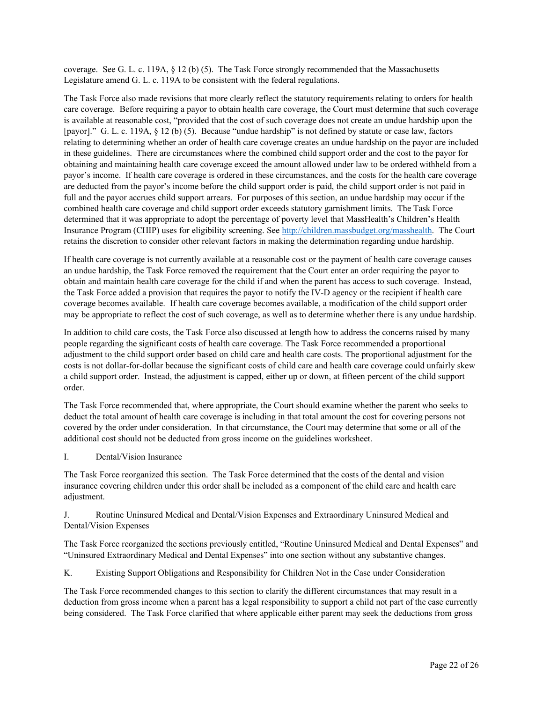coverage. See G. L. c. 119A, § 12 (b) (5). The Task Force strongly recommended that the Massachusetts Legislature amend G. L. c. 119A to be consistent with the federal regulations.

The Task Force also made revisions that more clearly reflect the statutory requirements relating to orders for health care coverage. Before requiring a payor to obtain health care coverage, the Court must determine that such coverage is available at reasonable cost, "provided that the cost of such coverage does not create an undue hardship upon the [payor]." G. L. c. 119A, § 12 (b) (5). Because "undue hardship" is not defined by statute or case law, factors relating to determining whether an order of health care coverage creates an undue hardship on the payor are included in these guidelines. There are circumstances where the combined child support order and the cost to the payor for obtaining and maintaining health care coverage exceed the amount allowed under law to be ordered withheld from a payor's income. If health care coverage is ordered in these circumstances, and the costs for the health care coverage are deducted from the payor's income before the child support order is paid, the child support order is not paid in full and the payor accrues child support arrears. For purposes of this section, an undue hardship may occur if the combined health care coverage and child support order exceeds statutory garnishment limits. The Task Force determined that it was appropriate to adopt the percentage of poverty level that MassHealth's Children's Health Insurance Program (CHIP) uses for eligibility screening. See http://children.massbudget.org/masshealth. The Court retains the discretion to consider other relevant factors in making the determination regarding undue hardship.

If health care coverage is not currently available at a reasonable cost or the payment of health care coverage causes an undue hardship, the Task Force removed the requirement that the Court enter an order requiring the payor to obtain and maintain health care coverage for the child if and when the parent has access to such coverage. Instead, the Task Force added a provision that requires the payor to notify the IV-D agency or the recipient if health care coverage becomes available. If health care coverage becomes available, a modification of the child support order may be appropriate to reflect the cost of such coverage, as well as to determine whether there is any undue hardship.

In addition to child care costs, the Task Force also discussed at length how to address the concerns raised by many people regarding the significant costs of health care coverage. The Task Force recommended a proportional adjustment to the child support order based on child care and health care costs. The proportional adjustment for the costs is not dollar-for-dollar because the significant costs of child care and health care coverage could unfairly skew a child support order. Instead, the adjustment is capped, either up or down, at fifteen percent of the child support order.

The Task Force recommended that, where appropriate, the Court should examine whether the parent who seeks to deduct the total amount of health care coverage is including in that total amount the cost for covering persons not covered by the order under consideration. In that circumstance, the Court may determine that some or all of the additional cost should not be deducted from gross income on the guidelines worksheet.

I. Dental/Vision Insurance

The Task Force reorganized this section. The Task Force determined that the costs of the dental and vision insurance covering children under this order shall be included as a component of the child care and health care adjustment.

J. Routine Uninsured Medical and Dental/Vision Expenses and Extraordinary Uninsured Medical and Dental/Vision Expenses

The Task Force reorganized the sections previously entitled, "Routine Uninsured Medical and Dental Expenses" and "Uninsured Extraordinary Medical and Dental Expenses" into one section without any substantive changes.

K. Existing Support Obligations and Responsibility for Children Not in the Case under Consideration

The Task Force recommended changes to this section to clarify the different circumstances that may result in a deduction from gross income when a parent has a legal responsibility to support a child not part of the case currently being considered. The Task Force clarified that where applicable either parent may seek the deductions from gross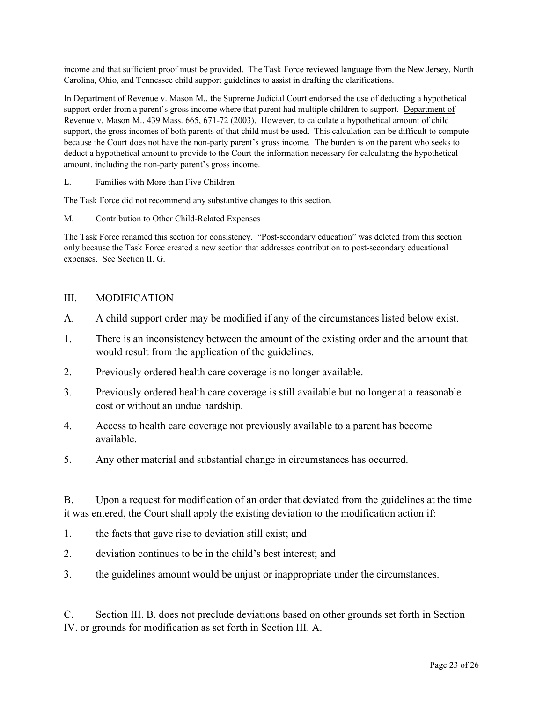income and that sufficient proof must be provided. The Task Force reviewed language from the New Jersey, North Carolina, Ohio, and Tennessee child support guidelines to assist in drafting the clarifications.

In Department of Revenue v. Mason M., the Supreme Judicial Court endorsed the use of deducting a hypothetical support order from a parent's gross income where that parent had multiple children to support. Department of Revenue v. Mason M., 439 Mass. 665, 671-72 (2003). However, to calculate a hypothetical amount of child support, the gross incomes of both parents of that child must be used. This calculation can be difficult to compute because the Court does not have the non-party parent's gross income. The burden is on the parent who seeks to deduct a hypothetical amount to provide to the Court the information necessary for calculating the hypothetical amount, including the non-party parent's gross income.

L. Families with More than Five Children

The Task Force did not recommend any substantive changes to this section.

M. Contribution to Other Child-Related Expenses

The Task Force renamed this section for consistency. "Post-secondary education" was deleted from this section only because the Task Force created a new section that addresses contribution to post-secondary educational expenses. See Section II. G.

## III. MODIFICATION

- A. A child support order may be modified if any of the circumstances listed below exist.
- 1. There is an inconsistency between the amount of the existing order and the amount that would result from the application of the guidelines.
- 2. Previously ordered health care coverage is no longer available.
- 3. Previously ordered health care coverage is still available but no longer at a reasonable cost or without an undue hardship.
- 4. Access to health care coverage not previously available to a parent has become available.
- 5. Any other material and substantial change in circumstances has occurred.

B. Upon a request for modification of an order that deviated from the guidelines at the time it was entered, the Court shall apply the existing deviation to the modification action if:

- 1. the facts that gave rise to deviation still exist; and
- 2. deviation continues to be in the child's best interest; and
- 3. the guidelines amount would be unjust or inappropriate under the circumstances.

C. Section III. B. does not preclude deviations based on other grounds set forth in Section IV. or grounds for modification as set forth in Section III. A.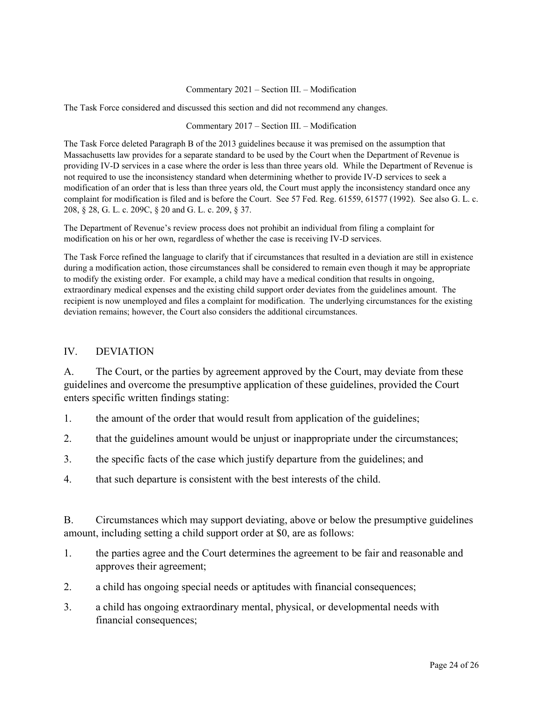### Commentary 2021 – Section III. – Modification

The Task Force considered and discussed this section and did not recommend any changes.

Commentary 2017 – Section III. – Modification

The Task Force deleted Paragraph B of the 2013 guidelines because it was premised on the assumption that Massachusetts law provides for a separate standard to be used by the Court when the Department of Revenue is providing IV-D services in a case where the order is less than three years old. While the Department of Revenue is not required to use the inconsistency standard when determining whether to provide IV-D services to seek a modification of an order that is less than three years old, the Court must apply the inconsistency standard once any complaint for modification is filed and is before the Court. See 57 Fed. Reg. 61559, 61577 (1992). See also G. L. c. 208, § 28, G. L. c. 209C, § 20 and G. L. c. 209, § 37.

The Department of Revenue's review process does not prohibit an individual from filing a complaint for modification on his or her own, regardless of whether the case is receiving IV-D services.

The Task Force refined the language to clarify that if circumstances that resulted in a deviation are still in existence during a modification action, those circumstances shall be considered to remain even though it may be appropriate to modify the existing order. For example, a child may have a medical condition that results in ongoing, extraordinary medical expenses and the existing child support order deviates from the guidelines amount. The recipient is now unemployed and files a complaint for modification. The underlying circumstances for the existing deviation remains; however, the Court also considers the additional circumstances.

## IV. DEVIATION

A. The Court, or the parties by agreement approved by the Court, may deviate from these guidelines and overcome the presumptive application of these guidelines, provided the Court enters specific written findings stating:

- 1. the amount of the order that would result from application of the guidelines;
- 2. that the guidelines amount would be unjust or inappropriate under the circumstances;
- 3. the specific facts of the case which justify departure from the guidelines; and
- 4. that such departure is consistent with the best interests of the child.

B. Circumstances which may support deviating, above or below the presumptive guidelines amount, including setting a child support order at \$0, are as follows:

- 1. the parties agree and the Court determines the agreement to be fair and reasonable and approves their agreement;
- 2. a child has ongoing special needs or aptitudes with financial consequences;
- 3. a child has ongoing extraordinary mental, physical, or developmental needs with financial consequences;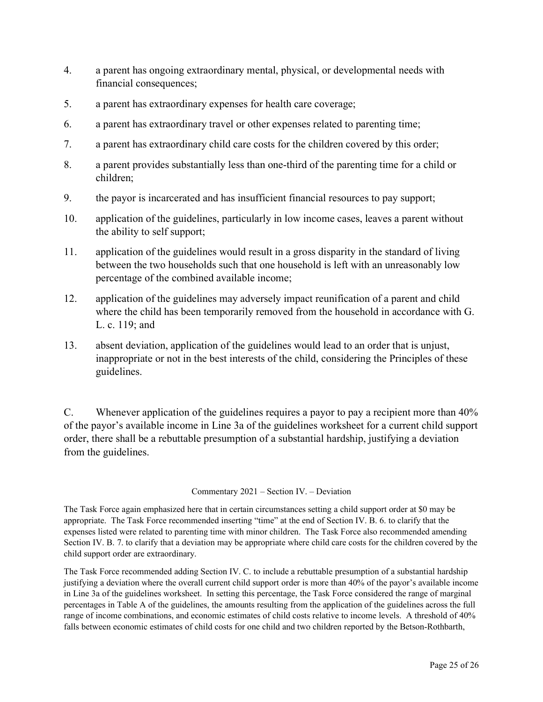- 4. a parent has ongoing extraordinary mental, physical, or developmental needs with financial consequences;
- 5. a parent has extraordinary expenses for health care coverage;
- 6. a parent has extraordinary travel or other expenses related to parenting time;
- 7. a parent has extraordinary child care costs for the children covered by this order;
- 8. a parent provides substantially less than one-third of the parenting time for a child or children;
- 9. the payor is incarcerated and has insufficient financial resources to pay support;
- 10. application of the guidelines, particularly in low income cases, leaves a parent without the ability to self support;
- 11. application of the guidelines would result in a gross disparity in the standard of living between the two households such that one household is left with an unreasonably low percentage of the combined available income;
- 12. application of the guidelines may adversely impact reunification of a parent and child where the child has been temporarily removed from the household in accordance with G. L. c. 119; and
- 13. absent deviation, application of the guidelines would lead to an order that is unjust, inappropriate or not in the best interests of the child, considering the Principles of these guidelines.

C. Whenever application of the guidelines requires a payor to pay a recipient more than 40% of the payor's available income in Line 3a of the guidelines worksheet for a current child support order, there shall be a rebuttable presumption of a substantial hardship, justifying a deviation from the guidelines.

## Commentary 2021 – Section IV. – Deviation

The Task Force again emphasized here that in certain circumstances setting a child support order at \$0 may be appropriate. The Task Force recommended inserting "time" at the end of Section IV. B. 6. to clarify that the expenses listed were related to parenting time with minor children. The Task Force also recommended amending Section IV. B. 7. to clarify that a deviation may be appropriate where child care costs for the children covered by the child support order are extraordinary.

The Task Force recommended adding Section IV. C. to include a rebuttable presumption of a substantial hardship justifying a deviation where the overall current child support order is more than 40% of the payor's available income in Line 3a of the guidelines worksheet. In setting this percentage, the Task Force considered the range of marginal percentages in Table A of the guidelines, the amounts resulting from the application of the guidelines across the full range of income combinations, and economic estimates of child costs relative to income levels. A threshold of 40% falls between economic estimates of child costs for one child and two children reported by the Betson-Rothbarth,